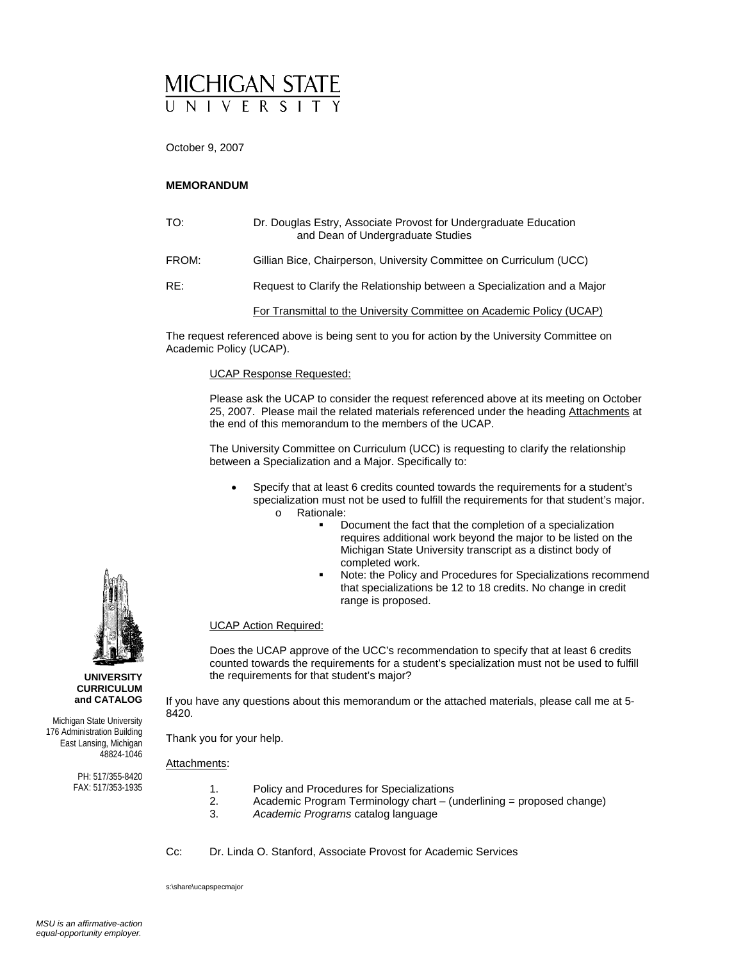# MICHIGAN STATE

October 9, 2007

#### **MEMORANDUM**

| TO:   | Dr. Douglas Estry, Associate Provost for Undergraduate Education<br>and Dean of Undergraduate Studies |
|-------|-------------------------------------------------------------------------------------------------------|
| FROM: | Gillian Bice, Chairperson, University Committee on Curriculum (UCC)                                   |
| RE:   | Request to Clarify the Relationship between a Specialization and a Major                              |
|       | For Transmittal to the University Committee on Academic Policy (UCAP)                                 |

The request referenced above is being sent to you for action by the University Committee on Academic Policy (UCAP).

#### UCAP Response Requested:

Please ask the UCAP to consider the request referenced above at its meeting on October 25, 2007. Please mail the related materials referenced under the heading Attachments at the end of this memorandum to the members of the UCAP.

The University Committee on Curriculum (UCC) is requesting to clarify the relationship between a Specialization and a Major. Specifically to:

- Specify that at least 6 credits counted towards the requirements for a student's specialization must not be used to fulfill the requirements for that student's major. o Rationale:
	- Document the fact that the completion of a specialization requires additional work beyond the major to be listed on the Michigan State University transcript as a distinct body of completed work.
	- Note: the Policy and Procedures for Specializations recommend that specializations be 12 to 18 credits. No change in credit range is proposed.

#### UCAP Action Required:

Does the UCAP approve of the UCC's recommendation to specify that at least 6 credits counted towards the requirements for a student's specialization must not be used to fulfill the requirements for that student's major?

If you have any questions about this memorandum or the attached materials, please call me at 5- 8420.

Thank you for your help.

Attachments:

- 1. Policy and Procedures for Specializations<br>2. Academic Program Terminology chart (u
	- 2. Academic Program Terminology chart (underlining = proposed change)<br>3. Academic Programs catalog language 3. *Academic Programs* catalog language
	-



s:\share\ucapspecmajor



Michigan State University 176 Administration Building East Lansing, Michigan 48824-1046

> PH: 517/355-8420 FAX: 517/353-1935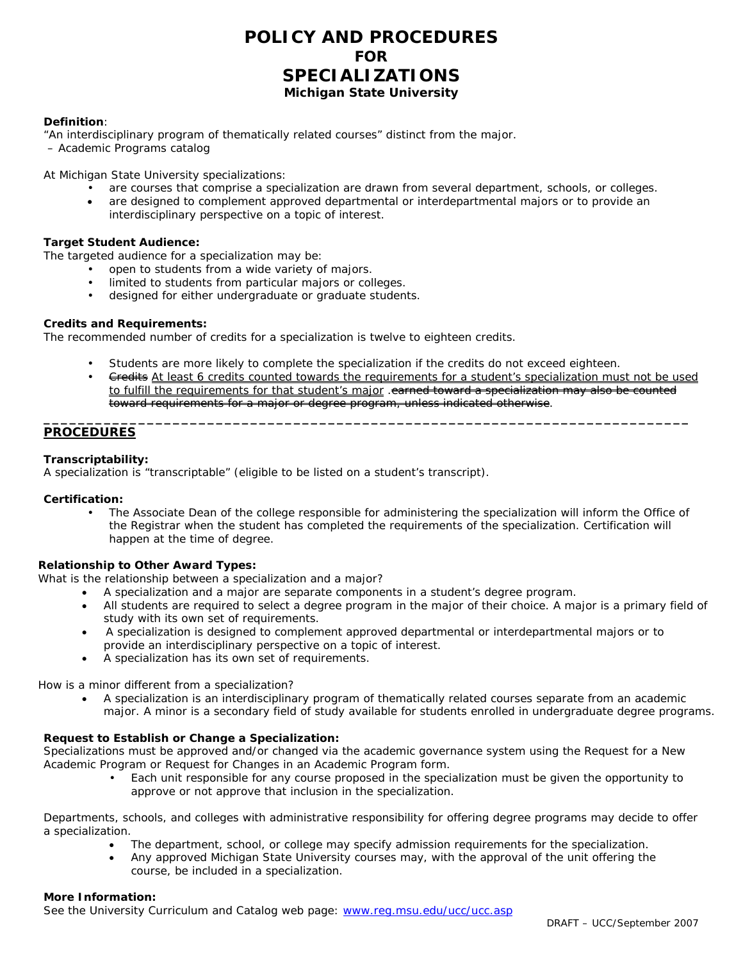### **POLICY AND PROCEDURES FOR SPECIALIZATIONS Michigan State University**

#### **Definition**:

"An interdisciplinary program of thematically related courses" distinct from the major.

– *Academic Programs* catalog

At Michigan State University specializations:

- are courses that comprise a specialization are drawn from several department, schools, or colleges.
- are designed to complement approved departmental or interdepartmental majors or to provide an interdisciplinary perspective on a topic of interest.

#### **Target Student Audience:**

The targeted audience for a specialization may be:

- open to students from a wide variety of majors.
- limited to students from particular majors or colleges.
- designed for either undergraduate or graduate students.

#### **Credits and Requirements:**

The recommended number of credits for a specialization is twelve to eighteen credits.

Students are more likely to complete the specialization if the credits do not exceed eighteen.

**\_\_\_\_\_\_\_\_\_\_\_\_\_\_\_\_\_\_\_\_\_\_\_\_\_\_\_\_\_\_\_\_\_\_\_\_\_\_\_\_\_\_\_\_\_\_\_\_\_\_\_\_\_\_\_\_\_\_\_\_\_\_\_\_\_\_\_\_\_\_\_\_\_\_\_** 

Gredits At least 6 credits counted towards the requirements for a student's specialization must not be used to fulfill the requirements for that student's major .earned toward a specialization may also be counted toward requirements for a major or degree program, unless indicated otherwise.

#### **PROCEDURES**

#### **Transcriptability:**

A specialization is "transcriptable" (eligible to be listed on a student's transcript).

#### **Certification:**

 • The Associate Dean of the college responsible for administering the specialization will inform the Office of the Registrar when the student has completed the requirements of the specialization. Certification will happen at the time of degree.

#### **Relationship to Other Award Types:**

What is the relationship between a specialization and a major?

- A specialization and a major are separate components in a student's degree program.
- All students are required to select a degree program in the major of their choice. A major is a primary field of study with its own set of requirements.
- A specialization is designed to complement approved departmental or interdepartmental majors or to provide an interdisciplinary perspective on a topic of interest.
- A specialization has its own set of requirements.

How is a minor different from a specialization?

• A *specialization* is an interdisciplinary program of thematically related courses separate from an academic major. A minor is a secondary field of study available for students enrolled in undergraduate degree programs.

#### **Request to Establish or Change a Specialization:**

Specializations must be approved and/or changed via the academic governance system using the *Request for a New Academic Program* or *Request for Changes in an Academic Program* form.

• Each unit responsible for any course proposed in the specialization must be given the opportunity to approve or not approve that inclusion in the specialization.

Departments, schools, and colleges with administrative responsibility for offering degree programs may decide to offer a specialization.

- The department, school, or college may specify admission requirements for the specialization.
- Any approved Michigan State University courses may, with the approval of the unit offering the course, be included in a specialization.

#### **More Information:**

See the University Curriculum and Catalog web page: www.reg.msu.edu/ucc/ucc.asp